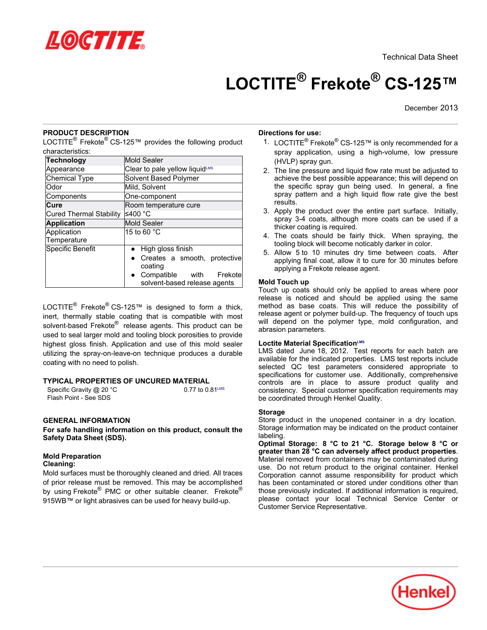

Technical Data Sheet

# **LOCTITE® Frekote® CS-125™**

December 2013

# **PRODUCT DESCRIPTION**

LOCTITE® Frekote® CS-125™ provides the following product characteristics:

| <b>Technology</b>              | <b>Mold Sealer</b>                                                                                                         |
|--------------------------------|----------------------------------------------------------------------------------------------------------------------------|
| Appearance                     | Clear to pale yellow liquidLMS                                                                                             |
| <b>Chemical Type</b>           | Solvent Based Polymer                                                                                                      |
| Odor                           | Mild, Solvent                                                                                                              |
| Components                     | One-component                                                                                                              |
| Cure                           | Room temperature cure                                                                                                      |
| <b>Cured Thermal Stability</b> | ≤400 °C                                                                                                                    |
| <b>Application</b>             | <b>Mold Sealer</b>                                                                                                         |
| Application<br>Temperature     | 15 to 60 $^{\circ}$ C                                                                                                      |
| Specific Benefit               | High gloss finish<br>Creates a smooth, protective<br>coating<br>Compatible with<br>Frekote<br>solvent-based release agents |

LOCTITE<sup>®</sup> Frekote<sup>®</sup> CS-125™ is designed to form a thick, inert, thermally stable coating that is compatible with most solvent-based Frekote® release agents. This product can be used to seal larger mold and tooling block porosities to provide highest gloss finish. Application and use of this mold sealer utilizing the spray-on-leave-on technique produces a durable coating with no need to polish.

# **TYPICAL PROPERTIES OF UNCURED MATERIAL**

Specific Gravity  $@20 °C$  0.77 to  $0.81^{\text{LMS}}$ Flash Point - See SDS

### **GENERAL INFORMATION**

**For safe handling information on this product, consult the Safety Data Sheet (SDS).**

# **Mold Preparation**

**Cleaning:**

Mold surfaces must be thoroughly cleaned and dried. All traces of prior release must be removed. This may be accomplished by using Frekote® PMC or other suitable cleaner. Frekote® 915WB™ or light abrasives can be used for heavy build-up.

### **Directions for use:**

- 1. LOCTITE® Frekote® CS-125™ is only recommended for a spray application, using a high-volume, low pressure (HVLP) spray gun.
- 2. The line pressure and liquid flow rate must be adjusted to achieve the best possible appearance; this will depend on the specific spray gun being used. In general, a fine spray pattern and a high liquid flow rate give the best results.
- 3. Apply the product over the entire part surface. Initially, spray 3-4 coats, although more coats can be used if a thicker coating is required.
- 4. The coats should be fairly thick. When spraying, the tooling block will become noticably darker in color.
- 5. Allow 5 to 10 minutes dry time between coats. After applying final coat, allow it to cure for 30 minutes before applying a Frekote release agent.

### **Mold Touch up**

Touch up coats should only be applied to areas where poor release is noticed and should be applied using the same method as base coats. This will reduce the possibility of release agent or polymer build-up. The frequency of touch ups will depend on the polymer type, mold configuration, and abrasion parameters.

#### **Loctite Material SpecificationLMS**

LMS dated June 18, 2012. Test reports for each batch are available for the indicated properties. LMS test reports include selected QC test parameters considered appropriate to specifications for customer use. Additionally, comprehensive controls are in place to assure product quality and consistency. Special customer specification requirements may be coordinated through Henkel Quality.

#### **Storage**

Store product in the unopened container in a dry location. Storage information may be indicated on the product container labeling.

**Optimal Storage: 8 °C to 21 °C. Storage below 8 °C or greater than 28 °C can adversely affect product properties**. Material removed from containers may be contaminated during use. Do not return product to the original container. Henkel Corporation cannot assume responsibility for product which has been contaminated or stored under conditions other than those previously indicated. If additional information is required, please contact your local Technical Service Center or Customer Service Representative.